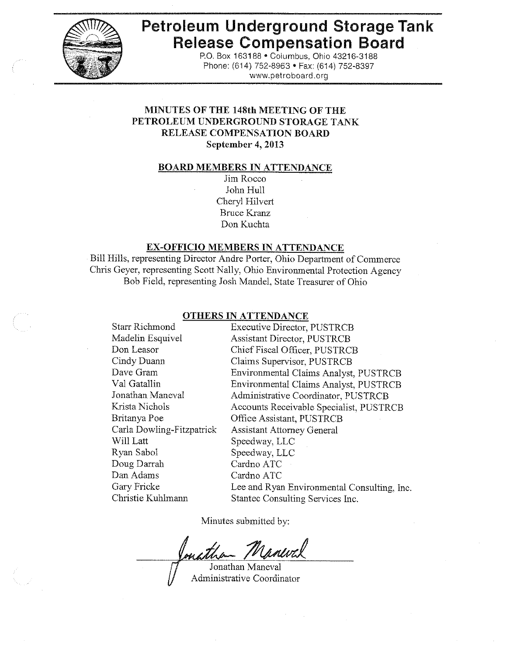

# **Petroleum Underground Storage Tank Release Compensation Board**

P.O. Box 163188 . Columbus, Ohio 43216-3188 Phone: (614) 752-8963 · Fax: (614) 752-8397 www.petroboard.org

# MINUTES OF THE 148th MEETING OF THE PETROLEUM UNDERGROUND STORAGE TANK **RELEASE COMPENSATION BOARD** September 4, 2013

#### **BOARD MEMBERS IN ATTENDANCE**

Jim Rocco John Hull Cheryl Hilvert **Bruce Kranz** Don Kuchta

# **EX-OFFICIO MEMBERS IN ATTENDANCE**

Bill Hills, representing Director Andre Porter, Ohio Department of Commerce Chris Geyer, representing Scott Nally, Ohio Environmental Protection Agency Bob Field, representing Josh Mandel, State Treasurer of Ohio

#### **OTHERS IN ATTENDANCE**

**Starr Richmond Executive Director, PUSTRCB** Madelin Esquivel **Assistant Director, PUSTRCB** Chief Fiscal Officer, PUSTRCB Don Leasor Cindy Duann Claims Supervisor, PUSTRCB Dave Gram Environmental Claims Analyst, PUSTRCB Val Gatallin Environmental Claims Analyst, PUSTRCB Jonathan Maneval Administrative Coordinator, PUSTRCB Krista Nichols Accounts Receivable Specialist, PUSTRCB Office Assistant, PUSTRCB Britanya Poe Carla Dowling-Fitzpatrick **Assistant Attorney General** Will Latt Speedway, LLC Ryan Sabol Speedway, LLC Doug Darrah Cardno ATC Dan Adams Cardno ATC Gary Fricke Lee and Ryan Environmental Consulting, Inc. Christie Kuhlmann Stantec Consulting Services Inc.

Minutes submitted by:

Maneval

Jonathan Maneval Administrative Coordinator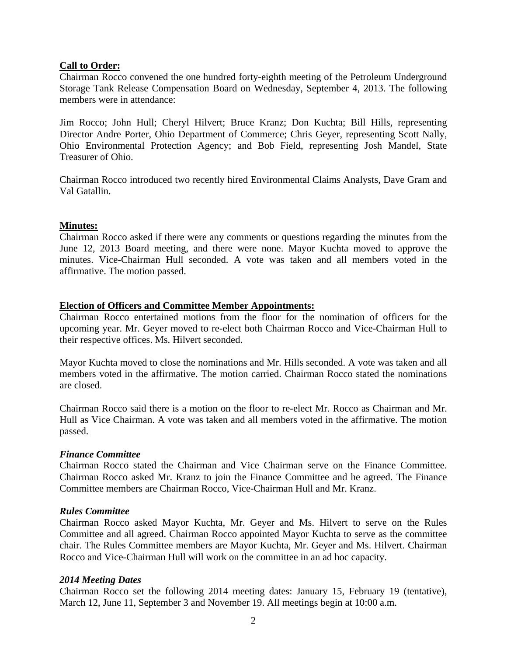# **Call to Order:**

Chairman Rocco convened the one hundred forty-eighth meeting of the Petroleum Underground Storage Tank Release Compensation Board on Wednesday, September 4, 2013. The following members were in attendance:

Jim Rocco; John Hull; Cheryl Hilvert; Bruce Kranz; Don Kuchta; Bill Hills, representing Director Andre Porter, Ohio Department of Commerce; Chris Geyer, representing Scott Nally, Ohio Environmental Protection Agency; and Bob Field, representing Josh Mandel, State Treasurer of Ohio.

Chairman Rocco introduced two recently hired Environmental Claims Analysts, Dave Gram and Val Gatallin.

# **Minutes:**

Chairman Rocco asked if there were any comments or questions regarding the minutes from the June 12, 2013 Board meeting, and there were none. Mayor Kuchta moved to approve the minutes. Vice-Chairman Hull seconded. A vote was taken and all members voted in the affirmative. The motion passed.

# **Election of Officers and Committee Member Appointments:**

Chairman Rocco entertained motions from the floor for the nomination of officers for the upcoming year. Mr. Geyer moved to re-elect both Chairman Rocco and Vice-Chairman Hull to their respective offices. Ms. Hilvert seconded.

Mayor Kuchta moved to close the nominations and Mr. Hills seconded. A vote was taken and all members voted in the affirmative. The motion carried. Chairman Rocco stated the nominations are closed.

Chairman Rocco said there is a motion on the floor to re-elect Mr. Rocco as Chairman and Mr. Hull as Vice Chairman. A vote was taken and all members voted in the affirmative. The motion passed.

# *Finance Committee*

Chairman Rocco stated the Chairman and Vice Chairman serve on the Finance Committee. Chairman Rocco asked Mr. Kranz to join the Finance Committee and he agreed. The Finance Committee members are Chairman Rocco, Vice-Chairman Hull and Mr. Kranz.

# *Rules Committee*

Chairman Rocco asked Mayor Kuchta, Mr. Geyer and Ms. Hilvert to serve on the Rules Committee and all agreed. Chairman Rocco appointed Mayor Kuchta to serve as the committee chair. The Rules Committee members are Mayor Kuchta, Mr. Geyer and Ms. Hilvert. Chairman Rocco and Vice-Chairman Hull will work on the committee in an ad hoc capacity.

# *2014 Meeting Dates*

Chairman Rocco set the following 2014 meeting dates: January 15, February 19 (tentative), March 12, June 11, September 3 and November 19. All meetings begin at 10:00 a.m.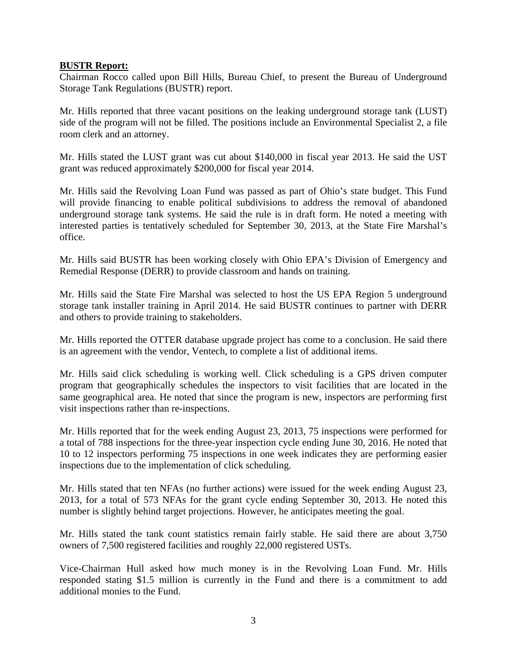# **BUSTR Report:**

Chairman Rocco called upon Bill Hills, Bureau Chief, to present the Bureau of Underground Storage Tank Regulations (BUSTR) report.

Mr. Hills reported that three vacant positions on the leaking underground storage tank (LUST) side of the program will not be filled. The positions include an Environmental Specialist 2, a file room clerk and an attorney.

Mr. Hills stated the LUST grant was cut about \$140,000 in fiscal year 2013. He said the UST grant was reduced approximately \$200,000 for fiscal year 2014.

Mr. Hills said the Revolving Loan Fund was passed as part of Ohio's state budget. This Fund will provide financing to enable political subdivisions to address the removal of abandoned underground storage tank systems. He said the rule is in draft form. He noted a meeting with interested parties is tentatively scheduled for September 30, 2013, at the State Fire Marshal's office.

Mr. Hills said BUSTR has been working closely with Ohio EPA's Division of Emergency and Remedial Response (DERR) to provide classroom and hands on training.

Mr. Hills said the State Fire Marshal was selected to host the US EPA Region 5 underground storage tank installer training in April 2014. He said BUSTR continues to partner with DERR and others to provide training to stakeholders.

Mr. Hills reported the OTTER database upgrade project has come to a conclusion. He said there is an agreement with the vendor, Ventech, to complete a list of additional items.

Mr. Hills said click scheduling is working well. Click scheduling is a GPS driven computer program that geographically schedules the inspectors to visit facilities that are located in the same geographical area. He noted that since the program is new, inspectors are performing first visit inspections rather than re-inspections.

Mr. Hills reported that for the week ending August 23, 2013, 75 inspections were performed for a total of 788 inspections for the three-year inspection cycle ending June 30, 2016. He noted that 10 to 12 inspectors performing 75 inspections in one week indicates they are performing easier inspections due to the implementation of click scheduling.

Mr. Hills stated that ten NFAs (no further actions) were issued for the week ending August 23, 2013, for a total of 573 NFAs for the grant cycle ending September 30, 2013. He noted this number is slightly behind target projections. However, he anticipates meeting the goal.

Mr. Hills stated the tank count statistics remain fairly stable. He said there are about 3,750 owners of 7,500 registered facilities and roughly 22,000 registered USTs.

Vice-Chairman Hull asked how much money is in the Revolving Loan Fund. Mr. Hills responded stating \$1.5 million is currently in the Fund and there is a commitment to add additional monies to the Fund.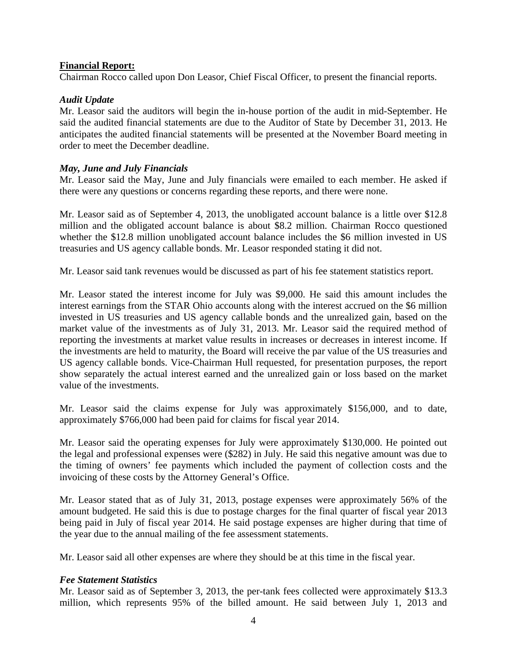# **Financial Report:**

Chairman Rocco called upon Don Leasor, Chief Fiscal Officer, to present the financial reports.

# *Audit Update*

Mr. Leasor said the auditors will begin the in-house portion of the audit in mid-September. He said the audited financial statements are due to the Auditor of State by December 31, 2013. He anticipates the audited financial statements will be presented at the November Board meeting in order to meet the December deadline.

# *May, June and July Financials*

Mr. Leasor said the May, June and July financials were emailed to each member. He asked if there were any questions or concerns regarding these reports, and there were none.

Mr. Leasor said as of September 4, 2013, the unobligated account balance is a little over \$12.8 million and the obligated account balance is about \$8.2 million. Chairman Rocco questioned whether the \$12.8 million unobligated account balance includes the \$6 million invested in US treasuries and US agency callable bonds. Mr. Leasor responded stating it did not.

Mr. Leasor said tank revenues would be discussed as part of his fee statement statistics report.

Mr. Leasor stated the interest income for July was \$9,000. He said this amount includes the interest earnings from the STAR Ohio accounts along with the interest accrued on the \$6 million invested in US treasuries and US agency callable bonds and the unrealized gain, based on the market value of the investments as of July 31, 2013. Mr. Leasor said the required method of reporting the investments at market value results in increases or decreases in interest income. If the investments are held to maturity, the Board will receive the par value of the US treasuries and US agency callable bonds. Vice-Chairman Hull requested, for presentation purposes, the report show separately the actual interest earned and the unrealized gain or loss based on the market value of the investments.

Mr. Leasor said the claims expense for July was approximately \$156,000, and to date, approximately \$766,000 had been paid for claims for fiscal year 2014.

Mr. Leasor said the operating expenses for July were approximately \$130,000. He pointed out the legal and professional expenses were (\$282) in July. He said this negative amount was due to the timing of owners' fee payments which included the payment of collection costs and the invoicing of these costs by the Attorney General's Office.

Mr. Leasor stated that as of July 31, 2013, postage expenses were approximately 56% of the amount budgeted. He said this is due to postage charges for the final quarter of fiscal year 2013 being paid in July of fiscal year 2014. He said postage expenses are higher during that time of the year due to the annual mailing of the fee assessment statements.

Mr. Leasor said all other expenses are where they should be at this time in the fiscal year.

# *Fee Statement Statistics*

Mr. Leasor said as of September 3, 2013, the per-tank fees collected were approximately \$13.3 million, which represents 95% of the billed amount. He said between July 1, 2013 and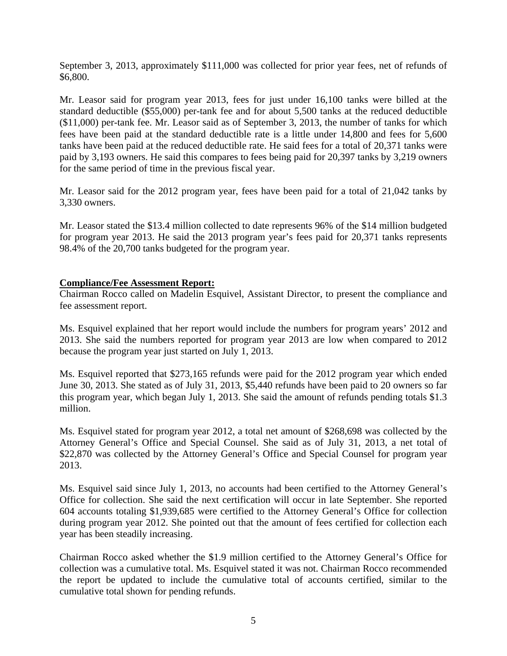September 3, 2013, approximately \$111,000 was collected for prior year fees, net of refunds of \$6,800.

Mr. Leasor said for program year 2013, fees for just under 16,100 tanks were billed at the standard deductible (\$55,000) per-tank fee and for about 5,500 tanks at the reduced deductible (\$11,000) per-tank fee. Mr. Leasor said as of September 3, 2013, the number of tanks for which fees have been paid at the standard deductible rate is a little under 14,800 and fees for 5,600 tanks have been paid at the reduced deductible rate. He said fees for a total of 20,371 tanks were paid by 3,193 owners. He said this compares to fees being paid for 20,397 tanks by 3,219 owners for the same period of time in the previous fiscal year.

Mr. Leasor said for the 2012 program year, fees have been paid for a total of 21,042 tanks by 3,330 owners.

Mr. Leasor stated the \$13.4 million collected to date represents 96% of the \$14 million budgeted for program year 2013. He said the 2013 program year's fees paid for 20,371 tanks represents 98.4% of the 20,700 tanks budgeted for the program year.

# **Compliance/Fee Assessment Report:**

Chairman Rocco called on Madelin Esquivel, Assistant Director, to present the compliance and fee assessment report.

Ms. Esquivel explained that her report would include the numbers for program years' 2012 and 2013. She said the numbers reported for program year 2013 are low when compared to 2012 because the program year just started on July 1, 2013.

Ms. Esquivel reported that \$273,165 refunds were paid for the 2012 program year which ended June 30, 2013. She stated as of July 31, 2013, \$5,440 refunds have been paid to 20 owners so far this program year, which began July 1, 2013. She said the amount of refunds pending totals \$1.3 million.

Ms. Esquivel stated for program year 2012, a total net amount of \$268,698 was collected by the Attorney General's Office and Special Counsel. She said as of July 31, 2013, a net total of \$22,870 was collected by the Attorney General's Office and Special Counsel for program year 2013.

Ms. Esquivel said since July 1, 2013, no accounts had been certified to the Attorney General's Office for collection. She said the next certification will occur in late September. She reported 604 accounts totaling \$1,939,685 were certified to the Attorney General's Office for collection during program year 2012. She pointed out that the amount of fees certified for collection each year has been steadily increasing.

Chairman Rocco asked whether the \$1.9 million certified to the Attorney General's Office for collection was a cumulative total. Ms. Esquivel stated it was not. Chairman Rocco recommended the report be updated to include the cumulative total of accounts certified, similar to the cumulative total shown for pending refunds.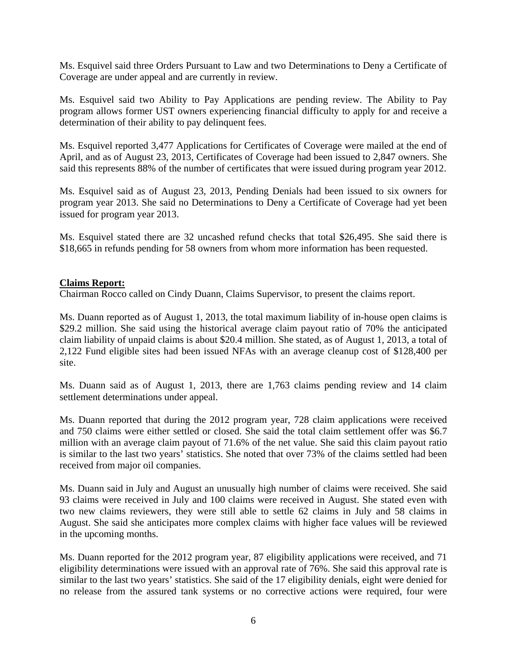Ms. Esquivel said three Orders Pursuant to Law and two Determinations to Deny a Certificate of Coverage are under appeal and are currently in review.

Ms. Esquivel said two Ability to Pay Applications are pending review. The Ability to Pay program allows former UST owners experiencing financial difficulty to apply for and receive a determination of their ability to pay delinquent fees.

Ms. Esquivel reported 3,477 Applications for Certificates of Coverage were mailed at the end of April, and as of August 23, 2013, Certificates of Coverage had been issued to 2,847 owners. She said this represents 88% of the number of certificates that were issued during program year 2012.

Ms. Esquivel said as of August 23, 2013, Pending Denials had been issued to six owners for program year 2013. She said no Determinations to Deny a Certificate of Coverage had yet been issued for program year 2013.

Ms. Esquivel stated there are 32 uncashed refund checks that total \$26,495. She said there is \$18,665 in refunds pending for 58 owners from whom more information has been requested.

# **Claims Report:**

Chairman Rocco called on Cindy Duann, Claims Supervisor, to present the claims report.

Ms. Duann reported as of August 1, 2013, the total maximum liability of in-house open claims is \$29.2 million. She said using the historical average claim payout ratio of 70% the anticipated claim liability of unpaid claims is about \$20.4 million. She stated, as of August 1, 2013, a total of 2,122 Fund eligible sites had been issued NFAs with an average cleanup cost of \$128,400 per site.

Ms. Duann said as of August 1, 2013, there are 1,763 claims pending review and 14 claim settlement determinations under appeal.

Ms. Duann reported that during the 2012 program year, 728 claim applications were received and 750 claims were either settled or closed. She said the total claim settlement offer was \$6.7 million with an average claim payout of 71.6% of the net value. She said this claim payout ratio is similar to the last two years' statistics. She noted that over 73% of the claims settled had been received from major oil companies.

Ms. Duann said in July and August an unusually high number of claims were received. She said 93 claims were received in July and 100 claims were received in August. She stated even with two new claims reviewers, they were still able to settle 62 claims in July and 58 claims in August. She said she anticipates more complex claims with higher face values will be reviewed in the upcoming months.

Ms. Duann reported for the 2012 program year, 87 eligibility applications were received, and 71 eligibility determinations were issued with an approval rate of 76%. She said this approval rate is similar to the last two years' statistics. She said of the 17 eligibility denials, eight were denied for no release from the assured tank systems or no corrective actions were required, four were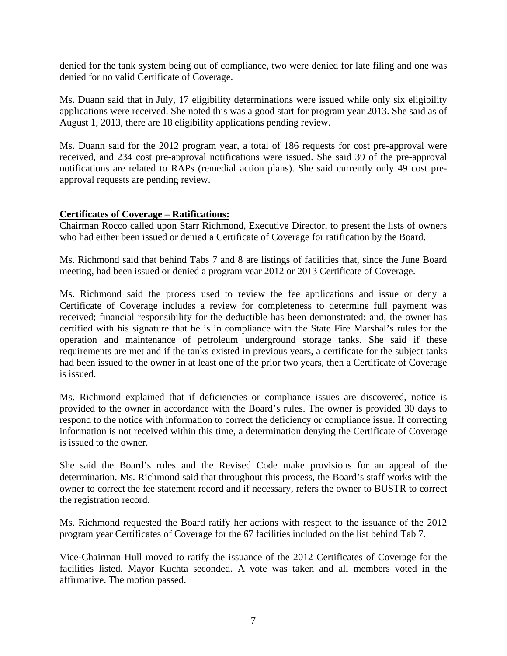denied for the tank system being out of compliance, two were denied for late filing and one was denied for no valid Certificate of Coverage.

Ms. Duann said that in July, 17 eligibility determinations were issued while only six eligibility applications were received. She noted this was a good start for program year 2013. She said as of August 1, 2013, there are 18 eligibility applications pending review.

Ms. Duann said for the 2012 program year, a total of 186 requests for cost pre-approval were received, and 234 cost pre-approval notifications were issued. She said 39 of the pre-approval notifications are related to RAPs (remedial action plans). She said currently only 49 cost preapproval requests are pending review.

# **Certificates of Coverage – Ratifications:**

Chairman Rocco called upon Starr Richmond, Executive Director, to present the lists of owners who had either been issued or denied a Certificate of Coverage for ratification by the Board.

Ms. Richmond said that behind Tabs 7 and 8 are listings of facilities that, since the June Board meeting, had been issued or denied a program year 2012 or 2013 Certificate of Coverage.

Ms. Richmond said the process used to review the fee applications and issue or deny a Certificate of Coverage includes a review for completeness to determine full payment was received; financial responsibility for the deductible has been demonstrated; and, the owner has certified with his signature that he is in compliance with the State Fire Marshal's rules for the operation and maintenance of petroleum underground storage tanks. She said if these requirements are met and if the tanks existed in previous years, a certificate for the subject tanks had been issued to the owner in at least one of the prior two years, then a Certificate of Coverage is issued.

Ms. Richmond explained that if deficiencies or compliance issues are discovered, notice is provided to the owner in accordance with the Board's rules. The owner is provided 30 days to respond to the notice with information to correct the deficiency or compliance issue. If correcting information is not received within this time, a determination denying the Certificate of Coverage is issued to the owner.

She said the Board's rules and the Revised Code make provisions for an appeal of the determination. Ms. Richmond said that throughout this process, the Board's staff works with the owner to correct the fee statement record and if necessary, refers the owner to BUSTR to correct the registration record.

Ms. Richmond requested the Board ratify her actions with respect to the issuance of the 2012 program year Certificates of Coverage for the 67 facilities included on the list behind Tab 7.

Vice-Chairman Hull moved to ratify the issuance of the 2012 Certificates of Coverage for the facilities listed. Mayor Kuchta seconded. A vote was taken and all members voted in the affirmative. The motion passed.